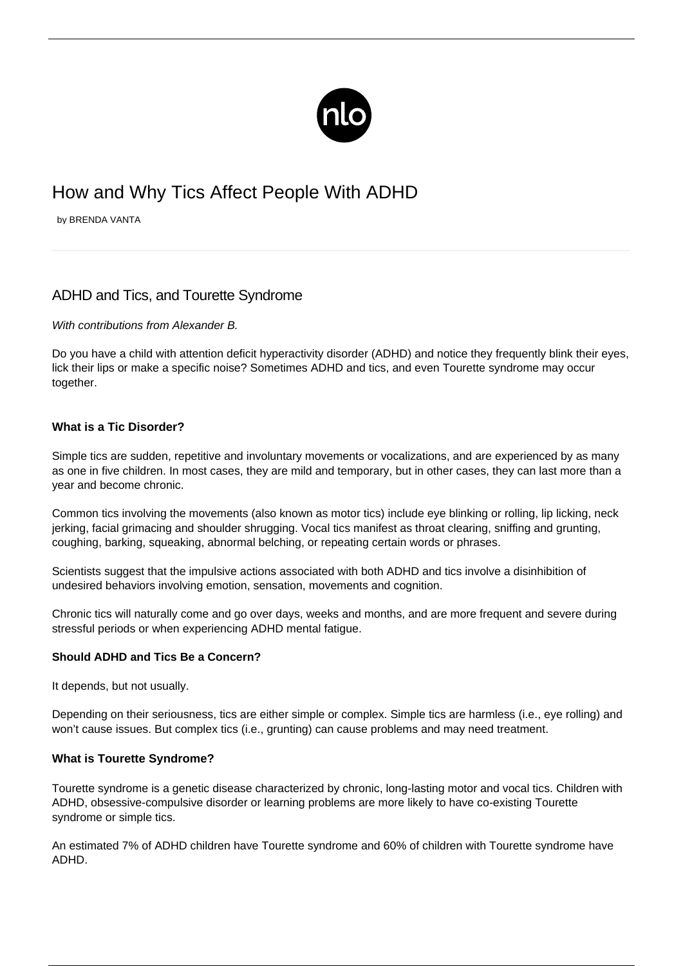

# How and Why Tics Affect People With ADHD

by BRENDA VANTA

# ADHD and Tics, and Tourette Syndrome

#### With contributions from Alexander B.

Do you have a child with [attention deficit hyperactivity disorder](/what-is-adhd/) (ADHD) and notice they frequently blink their eyes, lick their lips or make a specific noise? Sometimes ADHD and tics, and even Tourette syndrome may occur together.

#### **What is a Tic Disorder?**

Simple tics are sudden, repetitive and involuntary movements or vocalizations, and are experienced by as many as one in five children. In most cases, they are mild and temporary, but in other cases, they can last more than a year and become chronic.

Common tics involving the movements (also known as motor tics) include eye blinking or rolling, lip licking, neck jerking, facial grimacing and shoulder shrugging. Vocal tics manifest as throat clearing, sniffing and grunting, coughing, barking, squeaking, abnormal belching, or repeating certain words or phrases.

Scientists suggest that the impulsive actions associated with both ADHD and tics involve a disinhibition of undesired behaviors involving emotion, sensation, movements and cognition.

Chronic tics will naturally come and go over days, weeks and months, and are more frequent and severe during stressful periods or when experiencing [ADHD mental fatigue.](/adhd-fatigue/)

#### **Should ADHD and Tics Be a Concern?**

It depends, but not usually.

Depending on their seriousness, tics are either simple or complex. Simple tics are harmless (i.e., eye rolling) and won't cause issues. But complex tics (i.e., grunting) can cause problems and may need treatment.

#### **What is Tourette Syndrome?**

Tourette syndrome is a genetic disease characterized by chronic, long-lasting motor and vocal tics. Children with ADHD, obsessive-compulsive disorder or [learning problems](/adhd-study-tips/) are more likely to have co-existing Tourette syndrome or simple tics.

An estimated 7% of ADHD children have Tourette syndrome and 60% of children with Tourette syndrome have ADHD.